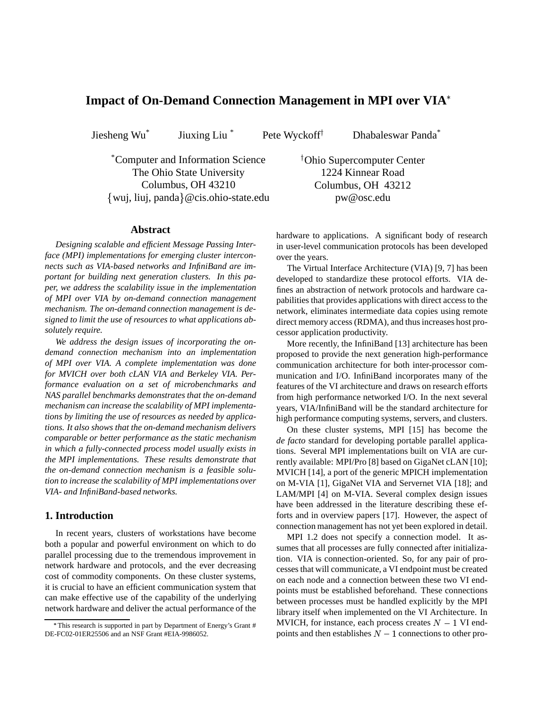# **Impact of On-Demand Connection Management in MPI over VIA**

Jiesheng Wu<sup>\*</sup>

Jiuxing Liu<sup>\*</sup> Pete Wyckoff<sup>†</sup>

Dhabaleswar Panda\*

\*Computer and Information Science The Ohio State University Columbus, OH 43210 - wuj, liuj, panda @cis.ohio-state.edu

### **Abstract**

*Designing scalable and efficient Message Passing Interface (MPI) implementations for emerging cluster interconnects such as VIA-based networks and InfiniBand are important for building next generation clusters. In this paper, we address the scalability issue in the implementation of MPI over VIA by on-demand connection management mechanism. The on-demand connection management is designed to limit the use of resources to what applications absolutely require.*

*We address the design issues of incorporating the ondemand connection mechanism into an implementation of MPI over VIA. A complete implementation was done for MVICH over both cLAN VIA and Berkeley VIA. Performance evaluation on a set of microbenchmarks and NAS parallel benchmarks demonstrates that the on-demand mechanism can increase the scalability of MPI implementations by limiting the use of resources as needed by applications. It also shows that the on-demand mechanism delivers comparable or better performance as the static mechanism in which a fully-connected process model usually exists in the MPI implementations. These results demonstrate that the on-demand connection mechanism is a feasible solution to increase the scalability of MPI implementations over VIA- and InfiniBand-based networks.*

## **1. Introduction**

In recent years, clusters of workstations have become both a popular and powerful environment on which to do parallel processing due to the tremendous improvement in network hardware and protocols, and the ever decreasing cost of commodity components. On these cluster systems, it is crucial to have an efficient communication system that can make effective use of the capability of the underlying network hardware and deliver the actual performance of the

 Ohio Supercomputer Center 1224 Kinnear Road Columbus, OH 43212 pw@osc.edu

hardware to applications. A significant body of research in user-level communication protocols has been developed over the years.

The Virtual Interface Architecture (VIA) [9, 7] has been developed to standardize these protocol efforts. VIA defines an abstraction of network protocols and hardware capabilities that provides applications with direct access to the network, eliminates intermediate data copies using remote direct memory access (RDMA), and thus increases host processor application productivity.

More recently, the InfiniBand [13] architecture has been proposed to provide the next generation high-performance communication architecture for both inter-processor communication and I/O. InfiniBand incorporates many of the features of the VI architecture and draws on research efforts from high performance networked I/O. In the next several years, VIA/InfiniBand will be the standard architecture for high performance computing systems, servers, and clusters.

On these cluster systems, MPI [15] has become the *de facto* standard for developing portable parallel applications. Several MPI implementations built on VIA are currently available: MPI/Pro [8] based on GigaNet cLAN [10]; MVICH [14], a port of the generic MPICH implementation on M-VIA [1], GigaNet VIA and Servernet VIA [18]; and LAM/MPI [4] on M-VIA. Several complex design issues have been addressed in the literature describing these efforts and in overview papers [17]. However, the aspect of connection management has not yet been explored in detail.

MPI 1.2 does not specify a connection model. It assumes that all processes are fully connected after initialization. VIA is connection-oriented. So, for any pair of processes that will communicate, a VI endpoint must be created on each node and a connection between these two VI endpoints must be established beforehand. These connections between processes must be handled explicitly by the MPI library itself when implemented on the VI Architecture. In MVICH, for instance, each process creates  $N-1$  VI endpoints and then establishes  $N-1$  connections to other pro-

This research is supported in part by Department of Energy's Grant # DE-FC02-01ER25506 and an NSF Grant #EIA-9986052.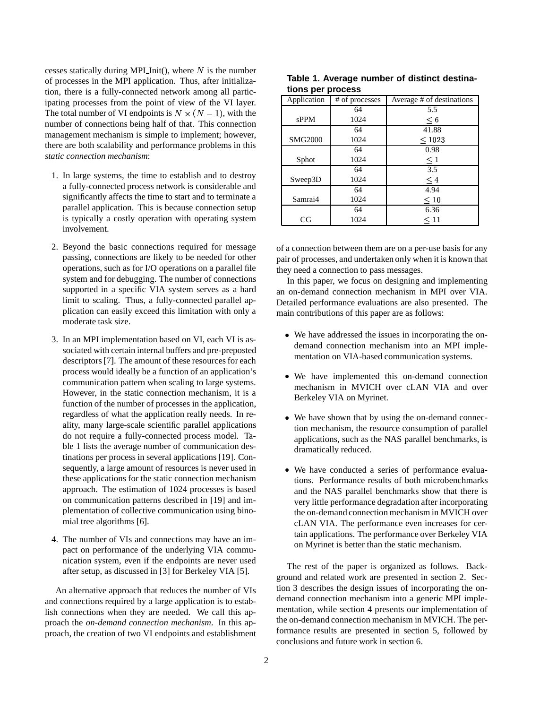cesses statically during MPI Init(), where  $N$  is the number of processes in the MPI application. Thus, after initialization, there is a fully-connected network among all participating processes from the point of view of the VI layer. The total number of VI endpoints is  $N \times (N-1)$ , with the number of connections being half of that. This connection management mechanism is simple to implement; however, there are both scalability and performance problems in this *static connection mechanism*:

- 1. In large systems, the time to establish and to destroy a fully-connected process network is considerable and significantly affects the time to start and to terminate a parallel application. This is because connection setup is typically a costly operation with operating system involvement.
- 2. Beyond the basic connections required for message passing, connections are likely to be needed for other operations, such as for I/O operations on a parallel file system and for debugging. The number of connections supported in a specific VIA system serves as a hard limit to scaling. Thus, a fully-connected parallel application can easily exceed this limitation with only a moderate task size.
- 3. In an MPI implementation based on VI, each VI is associated with certain internal buffers and pre-preposted descriptors [7]. The amount of these resources for each process would ideally be a function of an application's communication pattern when scaling to large systems. However, in the static connection mechanism, it is a function of the number of processes in the application, regardless of what the application really needs. In reality, many large-scale scientific parallel applications do not require a fully-connected process model. Table 1 lists the average number of communication destinations per process in several applications [19]. Consequently, a large amount of resources is never used in these applications for the static connection mechanism approach. The estimation of 1024 processes is based on communication patterns described in [19] and implementation of collective communication using binomial tree algorithms [6].
- 4. The number of VIs and connections may have an impact on performance of the underlying VIA communication system, even if the endpoints are never used after setup, as discussed in [3] for Berkeley VIA [5].

An alternative approach that reduces the number of VIs and connections required by a large application is to establish connections when they are needed. We call this approach the *on-demand connection mechanism*. In this approach, the creation of two VI endpoints and establishment

| tions per process |                |                           |
|-------------------|----------------|---------------------------|
| Application       | # of processes | Average # of destinations |
|                   | 64             | 5.5                       |
| sPPM              | 1024           | $\leq 6$                  |
|                   | 64             | 41.88                     |
| <b>SMG2000</b>    | 1024           | $\leq 1023$               |
|                   | 64             | 0.98                      |
| Sphot             | 1024           | $\leq 1$                  |
|                   | 64             | 3.5                       |
| $S$ weep $3D$     | 1024           | $\leq 4$                  |
|                   | 64             | 4.94                      |
| Samrai4           | 1024           | $\leq 10$                 |
|                   | 64             | 6.36                      |
| CG                | 1024           | $\leq 11$                 |

| Table 1. Average number of distinct destina- |  |  |
|----------------------------------------------|--|--|
| tions per process                            |  |  |

of a connection between them are on a per-use basis for any pair of processes, and undertaken only when it is known that they need a connection to pass messages.

In this paper, we focus on designing and implementing an on-demand connection mechanism in MPI over VIA. Detailed performance evaluations are also presented. The main contributions of this paper are as follows:

- We have addressed the issues in incorporating the ondemand connection mechanism into an MPI implementation on VIA-based communication systems.
- We have implemented this on-demand connection mechanism in MVICH over cLAN VIA and over Berkeley VIA on Myrinet.
- We have shown that by using the on-demand connection mechanism, the resource consumption of parallel applications, such as the NAS parallel benchmarks, is dramatically reduced.
- We have conducted a series of performance evaluations. Performance results of both microbenchmarks and the NAS parallel benchmarks show that there is very little performance degradation after incorporating the on-demand connection mechanism in MVICH over cLAN VIA. The performance even increases for certain applications. The performance over Berkeley VIA on Myrinet is better than the static mechanism.

The rest of the paper is organized as follows. Background and related work are presented in section 2. Section 3 describes the design issues of incorporating the ondemand connection mechanism into a generic MPI implementation, while section 4 presents our implementation of the on-demand connection mechanism in MVICH. The performance results are presented in section 5, followed by conclusions and future work in section 6.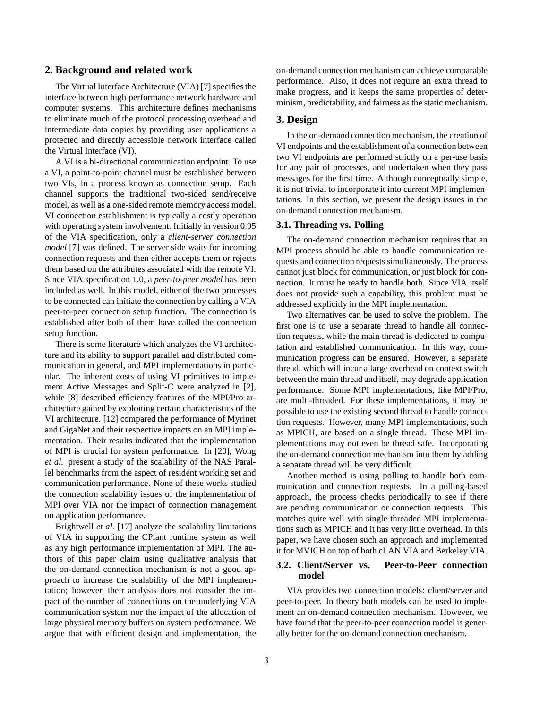## **2. Background and related work**

The Virtual Interface Architecture (VIA) [7] specifies the interface between high performance network hardware and computer systems. This architecture defines mechanisms to eliminate much of the protocol processing overhead and intermediate data copies by providing user applications a protected and directly accessible network interface called the Virtual Interface (VI).

A VI is a bi-directional communication endpoint. To use a VI, a point-to-point channel must be established between two VIs, in a process known as connection setup. Each channel supports the traditional two-sided send/receive model, as well as a one-sided remote memory access model. VI connection establishment is typically a costly operation with operating system involvement. Initially in version 0.95 of the VIA specification, only a *client-server connection model* [7] was defined. The server side waits for incoming connection requests and then either accepts them or rejects them based on the attributes associated with the remote VI. Since VIA specification 1.0, a *peer-to-peer model* has been included as well. In this model, either of the two processes to be connected can initiate the connection by calling a VIA peer-to-peer connection setup function. The connection is established after both of them have called the connection setup function.

There is some literature which analyzes the VI architecture and its ability to support parallel and distributed communication in general, and MPI implementations in particular. The inherent costs of using VI primitives to implement Active Messages and Split-C were analyzed in [2], while [8] described efficiency features of the MPI/Pro architecture gained by exploiting certain characteristics of the VI architecture. [12] compared the performance of Myrinet and GigaNet and their respective impacts on an MPI implementation. Their results indicated that the implementation of MPI is crucial for system performance. In [20], Wong *et al.* present a study of the scalability of the NAS Parallel benchmarks from the aspect of resident working set and communication performance. None of these works studied the connection scalability issues of the implementation of MPI over VIA nor the impact of connection management on application performance.

Brightwell *et al.* [17] analyze the scalability limitations of VIA in supporting the CPlant runtime system as well as any high performance implementation of MPI. The authors of this paper claim using qualitative analysis that the on-demand connection mechanism is not a good approach to increase the scalability of the MPI implementation; however, their analysis does not consider the impact of the number of connections on the underlying VIA communication system nor the impact of the allocation of large physical memory buffers on system performance. We argue that with efficient design and implementation, the

on-demand connection mechanism can achieve comparable performance. Also, it does not require an extra thread to make progress, and it keeps the same properties of determinism, predictability, and fairness as the static mechanism.

## **3. Design**

In the on-demand connection mechanism, the creation of VI endpoints and the establishment of a connection between two VI endpoints are performed strictly on a per-use basis for any pair of processes, and undertaken when they pass messages for the first time. Although conceptually simple, it is not trivial to incorporate it into current MPI implementations. In this section, we present the design issues in the on-demand connection mechanism.

#### **3.1. Threading vs. Polling**

The on-demand connection mechanism requires that an MPI process should be able to handle communication requests and connection requests simultaneously. The process cannot just block for communication, or just block for connection. It must be ready to handle both. Since VIA itself does not provide such a capability, this problem must be addressed explicitly in the MPI implementation.

Two alternatives can be used to solve the problem. The first one is to use a separate thread to handle all connection requests, while the main thread is dedicated to computation and established communication. In this way, communication progress can be ensured. However, a separate thread, which will incur a large overhead on context switch between the main thread and itself, may degrade application performance. Some MPI implementations, like MPI/Pro, are multi-threaded. For these implementations, it may be possible to use the existing second thread to handle connection requests. However, many MPI implementations, such as MPICH, are based on a single thread. These MPI implementations may not even be thread safe. Incorporating the on-demand connection mechanism into them by adding a separate thread will be very difficult.

Another method is using polling to handle both communication and connection requests. In a polling-based approach, the process checks periodically to see if there are pending communication or connection requests. This matches quite well with single threaded MPI implementations such as MPICH and it has very little overhead. In this paper, we have chosen such an approach and implemented it for MVICH on top of both cLAN VIA and Berkeley VIA.

## **3.2. Client/Server vs. Peer-to-Peer connection model**

VIA provides two connection models: client/server and peer-to-peer. In theory both models can be used to implement an on-demand connection mechanism. However, we have found that the peer-to-peer connection model is generally better for the on-demand connection mechanism.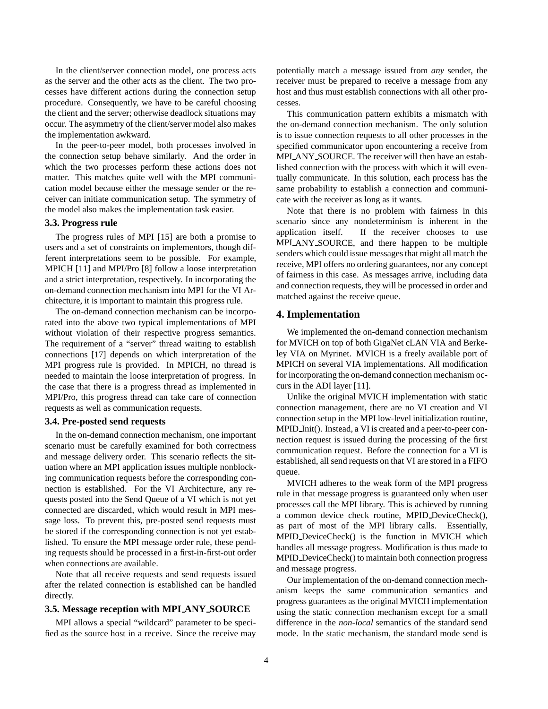In the client/server connection model, one process acts as the server and the other acts as the client. The two processes have different actions during the connection setup procedure. Consequently, we have to be careful choosing the client and the server; otherwise deadlock situations may occur. The asymmetry of the client/server model also makes the implementation awkward.

In the peer-to-peer model, both processes involved in the connection setup behave similarly. And the order in which the two processes perform these actions does not matter. This matches quite well with the MPI communication model because either the message sender or the receiver can initiate communication setup. The symmetry of the model also makes the implementation task easier.

#### **3.3. Progress rule**

The progress rules of MPI [15] are both a promise to users and a set of constraints on implementors, though different interpretations seem to be possible. For example, MPICH [11] and MPI/Pro [8] follow a loose interpretation and a strict interpretation, respectively. In incorporating the on-demand connection mechanism into MPI for the VI Architecture, it is important to maintain this progress rule.

The on-demand connection mechanism can be incorporated into the above two typical implementations of MPI without violation of their respective progress semantics. The requirement of a "server" thread waiting to establish connections [17] depends on which interpretation of the MPI progress rule is provided. In MPICH, no thread is needed to maintain the loose interpretation of progress. In the case that there is a progress thread as implemented in MPI/Pro, this progress thread can take care of connection requests as well as communication requests.

#### **3.4. Pre-posted send requests**

In the on-demand connection mechanism, one important scenario must be carefully examined for both correctness and message delivery order. This scenario reflects the situation where an MPI application issues multiple nonblocking communication requests before the corresponding connection is established. For the VI Architecture, any requests posted into the Send Queue of a VI which is not yet connected are discarded, which would result in MPI message loss. To prevent this, pre-posted send requests must be stored if the corresponding connection is not yet established. To ensure the MPI message order rule, these pending requests should be processed in a first-in-first-out order when connections are available.

Note that all receive requests and send requests issued after the related connection is established can be handled directly.

#### **3.5. Message reception with MPI ANY SOURCE**

MPI allows a special "wildcard" parameter to be specified as the source host in a receive. Since the receive may potentially match a message issued from *any* sender, the receiver must be prepared to receive a message from any host and thus must establish connections with all other processes.

This communication pattern exhibits a mismatch with the on-demand connection mechanism. The only solution is to issue connection requests to all other processes in the specified communicator upon encountering a receive from MPI\_ANY\_SOURCE. The receiver will then have an established connection with the process with which it will eventually communicate. In this solution, each process has the same probability to establish a connection and communicate with the receiver as long as it wants.

Note that there is no problem with fairness in this scenario since any nondeterminism is inherent in the application itself. If the receiver chooses to use MPI ANY SOURCE, and there happen to be multiple senders which could issue messages that might all match the receive, MPI offers no ordering guarantees, nor any concept of fairness in this case. As messages arrive, including data and connection requests, they will be processed in order and matched against the receive queue.

## **4. Implementation**

We implemented the on-demand connection mechanism for MVICH on top of both GigaNet cLAN VIA and Berkeley VIA on Myrinet. MVICH is a freely available port of MPICH on several VIA implementations. All modification for incorporating the on-demand connection mechanism occurs in the ADI layer [11].

Unlike the original MVICH implementation with static connection management, there are no VI creation and VI connection setup in the MPI low-level initialization routine, MPID\_Init(). Instead, a VI is created and a peer-to-peer connection request is issued during the processing of the first communication request. Before the connection for a VI is established, all send requests on that VI are stored in a FIFO queue.

MVICH adheres to the weak form of the MPI progress rule in that message progress is guaranteed only when user processes call the MPI library. This is achieved by running a common device check routine, MPID DeviceCheck(), as part of most of the MPI library calls. Essentially, MPID DeviceCheck() is the function in MVICH which handles all message progress. Modification is thus made to MPID DeviceCheck() to maintain both connection progress and message progress.

Our implementation of the on-demand connection mechanism keeps the same communication semantics and progress guarantees as the original MVICH implementation using the static connection mechanism except for a small difference in the *non-local* semantics of the standard send mode. In the static mechanism, the standard mode send is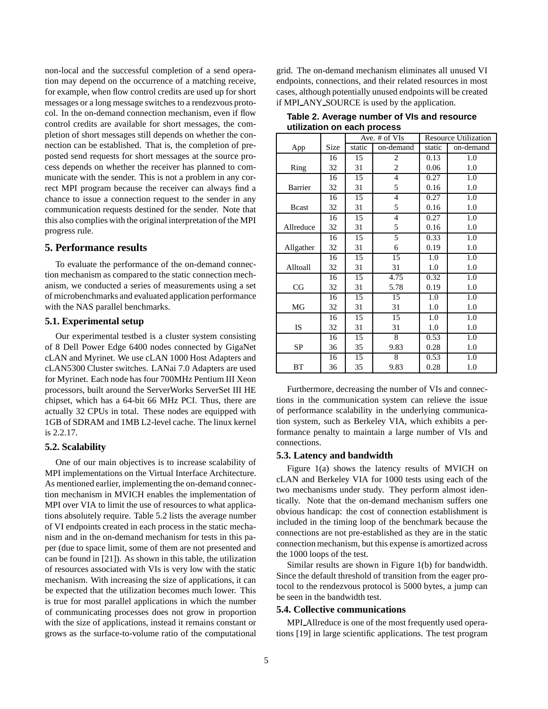non-local and the successful completion of a send operation may depend on the occurrence of a matching receive, for example, when flow control credits are used up for short messages or a long message switches to a rendezvous protocol. In the on-demand connection mechanism, even if flow control credits are available for short messages, the completion of short messages still depends on whether the connection can be established. That is, the completion of preposted send requests for short messages at the source process depends on whether the receiver has planned to communicate with the sender. This is not a problem in any correct MPI program because the receiver can always find a chance to issue a connection request to the sender in any communication requests destined for the sender. Note that this also complies with the original interpretation of the MPI progress rule.

#### **5. Performance results**

To evaluate the performance of the on-demand connection mechanism as compared to the static connection mechanism, we conducted a series of measurements using a set of microbenchmarks and evaluated application performance with the NAS parallel benchmarks.

#### **5.1. Experimental setup**

Our experimental testbed is a cluster system consisting of 8 Dell Power Edge 6400 nodes connected by GigaNet cLAN and Myrinet. We use cLAN 1000 Host Adapters and cLAN5300 Cluster switches. LANai 7.0 Adapters are used for Myrinet. Each node has four 700MHz Pentium III Xeon processors, built around the ServerWorks ServerSet III HE chipset, which has a 64-bit 66 MHz PCI. Thus, there are actually 32 CPUs in total. These nodes are equipped with 1GB of SDRAM and 1MB L2-level cache. The linux kernel is 2.2.17.

## **5.2. Scalability**

One of our main objectives is to increase scalability of MPI implementations on the Virtual Interface Architecture. As mentioned earlier, implementing the on-demand connection mechanism in MVICH enables the implementation of MPI over VIA to limit the use of resources to what applications absolutely require. Table 5.2 lists the average number of VI endpoints created in each process in the static mechanism and in the on-demand mechanism for tests in this paper (due to space limit, some of them are not presented and can be found in [21]). As shown in this table, the utilization of resources associated with VIs is very low with the static mechanism. With increasing the size of applications, it can be expected that the utilization becomes much lower. This is true for most parallel applications in which the number of communicating processes does not grow in proportion with the size of applications, instead it remains constant or grows as the surface-to-volume ratio of the computational grid. The on-demand mechanism eliminates all unused VI endpoints, connections, and their related resources in most cases, although potentially unused endpoints will be created if MPI ANY SOURCE is used by the application.

| Table 2. Average number of VIs and resource |  |  |
|---------------------------------------------|--|--|
| utilization on each process                 |  |  |

|               |      | Ave. # of VIs |                | <b>Resource Utilization</b> |           |
|---------------|------|---------------|----------------|-----------------------------|-----------|
| App           | Size | static        | on-demand      | static                      | on-demand |
|               | 16   | 15            | 2              | 0.13                        | 1.0       |
| Ring          | 32   | 31            | $\overline{c}$ | 0.06                        | 1.0       |
|               | 16   | 15            | $\overline{4}$ | 0.27                        | 1.0       |
| Barrier       | 32   | 31            | 5              | 0.16                        | 1.0       |
|               | 16   | 15            | $\overline{4}$ | 0.27                        | 1.0       |
| <b>B</b> cast | 32   | 31            | 5              | 0.16                        | 1.0       |
|               | 16   | 15            | 4              | 0.27                        | 1.0       |
| Allreduce     | 32   | 31            | 5              | 0.16                        | 1.0       |
|               | 16   | 15            | 5              | 0.33                        | 1.0       |
| Allgather     | 32   | 31            | 6              | 0.19                        | 1.0       |
|               | 16   | 15            | 15             | 1.0                         | 1.0       |
| Alltoall      | 32   | 31            | 31             | 1.0                         | 1.0       |
|               | 16   | 15            | 4.75           | 0.32                        | 1.0       |
| CG            | 32   | 31            | 5.78           | 0.19                        | 1.0       |
|               | 16   | 15            | 15             | 1.0                         | 1.0       |
| MG            | 32   | 31            | 31             | 1.0                         | 1.0       |
|               | 16   | 15            | 15             | 1.0                         | 1.0       |
| IS            | 32   | 31            | 31             | 1.0                         | 1.0       |
|               | 16   | 15            | 8              | 0.53                        | 1.0       |
| SP            | 36   | 35            | 9.83           | 0.28                        | 1.0       |
|               | 16   | 15            | 8              | 0.53                        | 1.0       |
| ВT            | 36   | 35            | 9.83           | 0.28                        | 1.0       |

Furthermore, decreasing the number of VIs and connections in the communication system can relieve the issue of performance scalability in the underlying communication system, such as Berkeley VIA, which exhibits a performance penalty to maintain a large number of VIs and connections.

#### **5.3. Latency and bandwidth**

Figure 1(a) shows the latency results of MVICH on cLAN and Berkeley VIA for 1000 tests using each of the two mechanisms under study. They perform almost identically. Note that the on-demand mechanism suffers one obvious handicap: the cost of connection establishment is included in the timing loop of the benchmark because the connections are not pre-established as they are in the static connection mechanism, but this expense is amortized across the 1000 loops of the test.

Similar results are shown in Figure 1(b) for bandwidth. Since the default threshold of transition from the eager protocol to the rendezvous protocol is 5000 bytes, a jump can be seen in the bandwidth test.

### **5.4. Collective communications**

MPI Allreduce is one of the most frequently used operations [19] in large scientific applications. The test program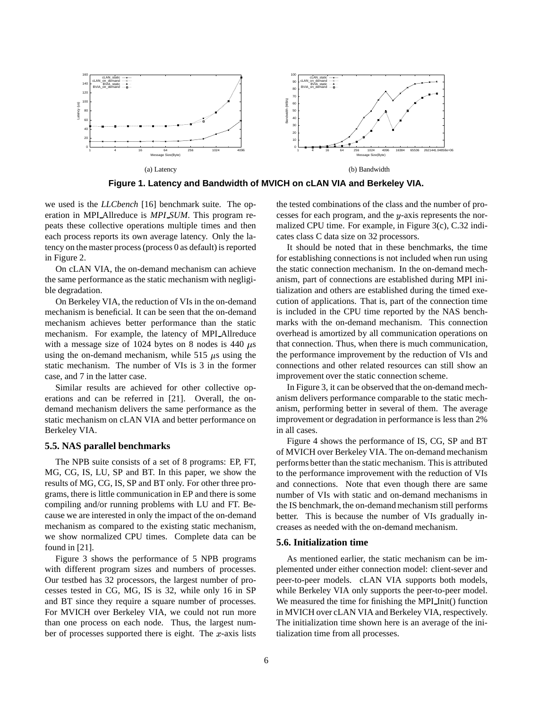

**Figure 1. Latency and Bandwidth of MVICH on cLAN VIA and Berkeley VIA.**

we used is the *LLCbench* [16] benchmark suite. The operation in MPI Allreduce is *MPI SUM*. This program repeats these collective operations multiple times and then each process reports its own average latency. Only the latency on the master process(process 0 as default) is reported in Figure 2.

On cLAN VIA, the on-demand mechanism can achieve the same performance as the static mechanism with negligible degradation.

On Berkeley VIA, the reduction of VIs in the on-demand mechanism is beneficial. It can be seen that the on-demand mechanism achieves better performance than the static mechanism. For example, the latency of MPI Allreduce with a message size of 1024 bytes on 8 nodes is 440  $\mu$ s using the on-demand mechanism, while 515  $\mu$ s using the static mechanism. The number of VIs is 3 in the former case, and 7 in the latter case.

Similar results are achieved for other collective operations and can be referred in [21]. Overall, the ondemand mechanism delivers the same performance as the static mechanism on cLAN VIA and better performance on Berkeley VIA.

#### **5.5. NAS parallel benchmarks**

The NPB suite consists of a set of 8 programs: EP, FT, MG, CG, IS, LU, SP and BT. In this paper, we show the results of MG, CG, IS, SP and BT only. For other three programs, there is little communication in EP and there is some compiling and/or running problems with LU and FT. Because we are interested in only the impact of the on-demand mechanism as compared to the existing static mechanism, we show normalized CPU times. Complete data can be found in [21].

Figure 3 shows the performance of 5 NPB programs with different program sizes and numbers of processes. Our testbed has 32 processors, the largest number of processes tested in CG, MG, IS is 32, while only 16 in SP and BT since they require a square number of processes. For MVICH over Berkeley VIA, we could not run more than one process on each node. Thus, the largest number of processes supported there is eight. The  $x$ -axis lists

the tested combinations of the class and the number of processes for each program, and the  $y$ -axis represents the normalized CPU time. For example, in Figure 3(c), C.32 indicates class C data size on 32 processors.

It should be noted that in these benchmarks, the time for establishing connections is not included when run using the static connection mechanism. In the on-demand mechanism, part of connections are established during MPI initialization and others are established during the timed execution of applications. That is, part of the connection time is included in the CPU time reported by the NAS benchmarks with the on-demand mechanism. This connection overhead is amortized by all communication operations on that connection. Thus, when there is much communication, the performance improvement by the reduction of VIs and connections and other related resources can still show an improvement over the static connection scheme.

In Figure 3, it can be observed that the on-demand mechanism delivers performance comparable to the static mechanism, performing better in several of them. The average improvement or degradation in performance is less than 2% in all cases.

Figure 4 shows the performance of IS, CG, SP and BT of MVICH over Berkeley VIA. The on-demand mechanism performs better than the static mechanism. This is attributed to the performance improvement with the reduction of VIs and connections. Note that even though there are same number of VIs with static and on-demand mechanisms in the IS benchmark, the on-demand mechanism still performs better. This is because the number of VIs gradually increases as needed with the on-demand mechanism.

#### **5.6. Initialization time**

As mentioned earlier, the static mechanism can be implemented under either connection model: client-sever and peer-to-peer models. cLAN VIA supports both models, while Berkeley VIA only supports the peer-to-peer model. We measured the time for finishing the MPI Init() function in MVICH over cLAN VIA and Berkeley VIA, respectively. The initialization time shown here is an average of the initialization time from all processes.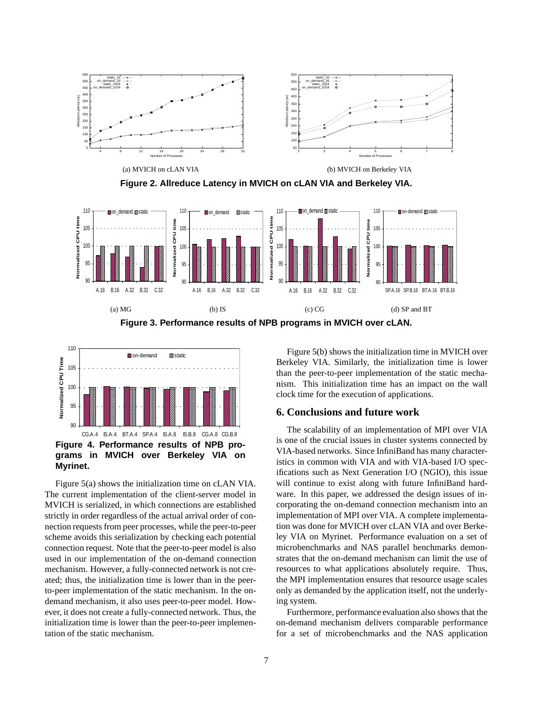

**Figure 2. Allreduce Latency in MVICH on cLAN VIA and Berkeley VIA.**



**Figure 3. Performance results of NPB programs in MVICH over cLAN.**



Figure 5(a) shows the initialization time on cLAN VIA. The current implementation of the client-server model in MVICH is serialized, in which connections are established strictly in order regardless of the actual arrival order of connection requests from peer processes, while the peer-to-peer scheme avoids this serialization by checking each potential connection request. Note that the peer-to-peer model is also used in our implementation of the on-demand connection mechanism. However, a fully-connected network is not created; thus, the initialization time is lower than in the peerto-peer implementation of the static mechanism. In the ondemand mechanism, it also uses peer-to-peer model. However, it does not create a fully-connected network. Thus, the initialization time is lower than the peer-to-peer implementation of the static mechanism.

Figure 5(b) shows the initialization time in MVICH over Berkeley VIA. Similarly, the initialization time is lower than the peer-to-peer implementation of the static mechanism. This initialization time has an impact on the wall clock time for the execution of applications.

## **6. Conclusions and future work**

The scalability of an implementation of MPI over VIA is one of the crucial issues in cluster systems connected by VIA-based networks. Since InfiniBand has many characteristics in common with VIA and with VIA-based I/O specifications such as Next Generation I/O (NGIO), this issue will continue to exist along with future InfiniBand hardware. In this paper, we addressed the design issues of incorporating the on-demand connection mechanism into an implementation of MPI over VIA. A complete implementation was done for MVICH over cLAN VIA and over Berkeley VIA on Myrinet. Performance evaluation on a set of microbenchmarks and NAS parallel benchmarks demonstrates that the on-demand mechanism can limit the use of resources to what applications absolutely require. Thus, the MPI implementation ensures that resource usage scales only as demanded by the application itself, not the underlying system.

Furthermore, performance evaluation also shows that the on-demand mechanism delivers comparable performance for a set of microbenchmarks and the NAS application